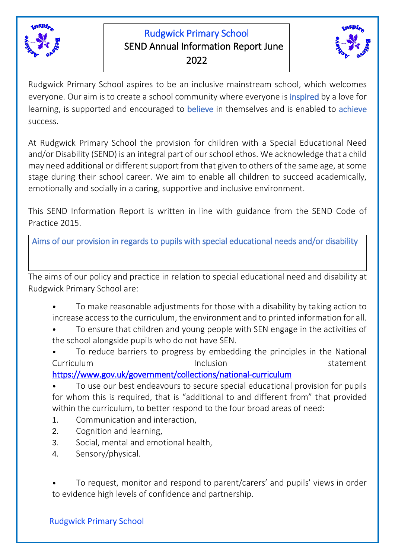

# Rudgwick Primary School SEND Annual Information Report June 2022



Rudgwick Primary School aspires to be an inclusive mainstream school, which welcomes everyone. Our aim is to create a school community where everyone is *inspired* by a love for learning, is supported and encouraged to believe in themselves and is enabled to achieve success.

At Rudgwick Primary School the provision for children with a Special Educational Need and/or Disability (SEND) is an integral part of our school ethos. We acknowledge that a child may need additional or different support from that given to others of the same age, at some stage during their school career. We aim to enable all children to succeed academically, emotionally and socially in a caring, supportive and inclusive environment.

This SEND Information Report is written in line with guidance from the SEND Code of Practice 2015.

Aims of our provision in regards to pupils with special educational needs and/or disability

The aims of our policy and practice in relation to special educational need and disability at Rudgwick Primary School are:

- To make reasonable adjustments for those with a disability by taking action to increase access to the curriculum, the environment and to printed information for all.
- To ensure that children and young people with SEN engage in the activities of the school alongside pupils who do not have SEN.
- To reduce barriers to progress by embedding the principles in the National Curriculum and the local device of the local device of the local device of the statement

<https://www.gov.uk/government/collections/national-curriculum>

• To use our best endeavours to secure special educational provision for pupils for whom this is required, that is "additional to and different from" that provided within the curriculum, to better respond to the four broad areas of need:

- 1. Communication and interaction,
- 2. Cognition and learning,
- 3. Social, mental and emotional health,
- 4. Sensory/physical.

• To request, monitor and respond to parent/carers' and pupils' views in order to evidence high levels of confidence and partnership.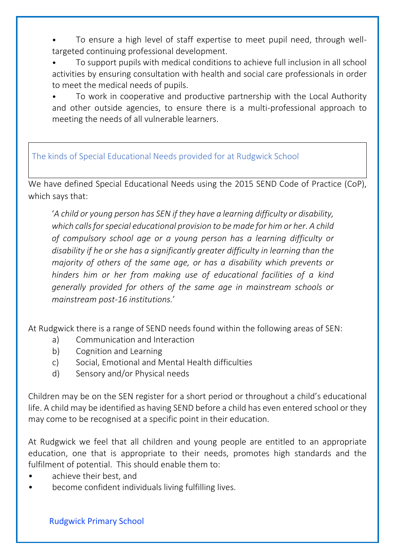- To ensure a high level of staff expertise to meet pupil need, through welltargeted continuing professional development.
- To support pupils with medical conditions to achieve full inclusion in all school activities by ensuring consultation with health and social care professionals in order to meet the medical needs of pupils.
- To work in cooperative and productive partnership with the Local Authority and other outside agencies, to ensure there is a multi-professional approach to meeting the needs of all vulnerable learners.

# The kinds of Special Educational Needs provided for at Rudgwick School

We have defined Special Educational Needs using the 2015 SEND Code of Practice (CoP), which says that:

'*A child or young person has SEN if they have a learning difficulty or disability, which calls for special educational provision to be made for him or her. A child of compulsory school age or a young person has a learning difficulty or disability if he or she has a significantly greater difficulty in learning than the majority of others of the same age, or has a disability which prevents or hinders him or her from making use of educational facilities of a kind generally provided for others of the same age in mainstream schools or mainstream post-16 institutions.*'

At Rudgwick there is a range of SEND needs found within the following areas of SEN:

- a) Communication and Interaction
- b) Cognition and Learning
- c) Social, Emotional and Mental Health difficulties
- d) Sensory and/or Physical needs

Children may be on the SEN register for a short period or throughout a child's educational life. A child may be identified as having SEND before a child has even entered school or they may come to be recognised at a specific point in their education.

At Rudgwick we feel that all children and young people are entitled to an appropriate education, one that is appropriate to their needs, promotes high standards and the fulfilment of potential. This should enable them to:

- achieve their best, and
- become confident individuals living fulfilling lives.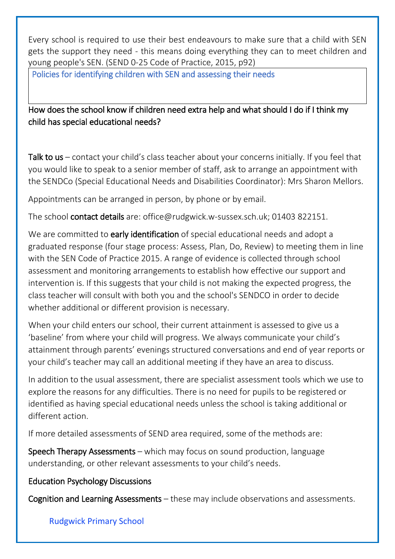Every school is required to use their best endeavours to make sure that a child with SEN gets the support they need - this means doing everything they can to meet children and young people's SEN. (SEND 0-25 Code of Practice, 2015, p92)

Policies for identifying children with SEN and assessing their needs

# How does the school know if children need extra help and what should I do if I think my child has special educational needs?

Talk to us – contact your child's class teacher about your concerns initially. If you feel that you would like to speak to a senior member of staff, ask to arrange an appointment with the SENDCo (Special Educational Needs and Disabilities Coordinator): Mrs Sharon Mellors.

Appointments can be arranged in person, by phone or by email.

The school contact details are: office@rudgwick.w-sussex.sch.uk; 01403 822151.

We are committed to early identification of special educational needs and adopt a graduated response (four stage process: Assess, Plan, Do, Review) to meeting them in line with the SEN Code of Practice 2015. A range of evidence is collected through school assessment and monitoring arrangements to establish how effective our support and intervention is. If this suggests that your child is not making the expected progress, the class teacher will consult with both you and the school's SENDCO in order to decide whether additional or different provision is necessary.

When your child enters our school, their current attainment is assessed to give us a 'baseline' from where your child will progress. We always communicate your child's attainment through parents' evenings structured conversations and end of year reports or your child's teacher may call an additional meeting if they have an area to discuss.

In addition to the usual assessment, there are specialist assessment tools which we use to explore the reasons for any difficulties. There is no need for pupils to be registered or identified as having special educational needs unless the school is taking additional or different action.

If more detailed assessments of SEND area required, some of the methods are:

Speech Therapy Assessments – which may focus on sound production, language understanding, or other relevant assessments to your child's needs.

# Education Psychology Discussions

Cognition and Learning Assessments – these may include observations and assessments.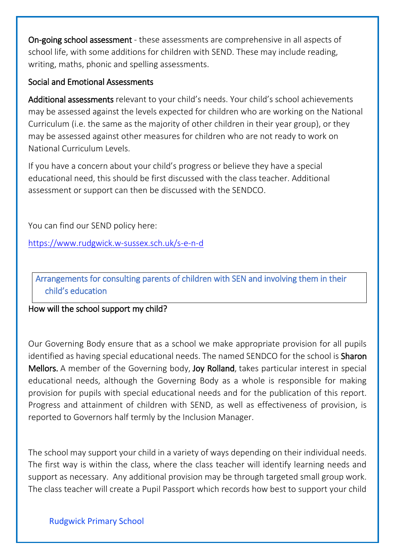On-going school assessment - these assessments are comprehensive in all aspects of school life, with some additions for children with SEND. These may include reading, writing, maths, phonic and spelling assessments.

### Social and Emotional Assessments

Additional assessments relevant to your child's needs. Your child's school achievements may be assessed against the levels expected for children who are working on the National Curriculum (i.e. the same as the majority of other children in their year group), or they may be assessed against other measures for children who are not ready to work on National Curriculum Levels.

If you have a concern about your child's progress or believe they have a special educational need, this should be first discussed with the class teacher. Additional assessment or support can then be discussed with the SENDCO.

You can find our SEND policy here:

<https://www.rudgwick.w-sussex.sch.uk/s-e-n-d>

Arrangements for consulting parents of children with SEN and involving them in their child's education

# How will the school support my child?

Our Governing Body ensure that as a school we make appropriate provision for all pupils identified as having special educational needs. The named SENDCO for the school is **Sharon** Mellors. A member of the Governing body, Joy Rolland, takes particular interest in special educational needs, although the Governing Body as a whole is responsible for making provision for pupils with special educational needs and for the publication of this report. Progress and attainment of children with SEND, as well as effectiveness of provision, is reported to Governors half termly by the Inclusion Manager.

The school may support your child in a variety of ways depending on their individual needs. The first way is within the class, where the class teacher will identify learning needs and support as necessary. Any additional provision may be through targeted small group work. The class teacher will create a Pupil Passport which records how best to support your child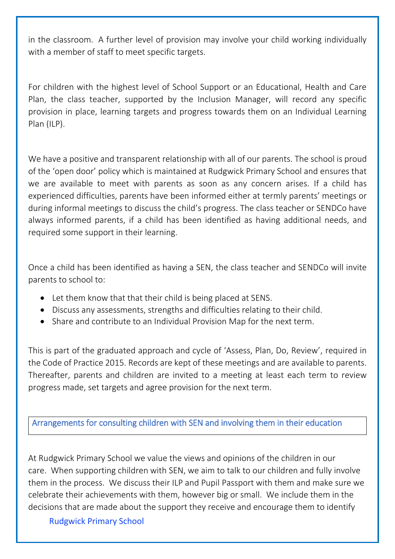in the classroom. A further level of provision may involve your child working individually with a member of staff to meet specific targets.

For children with the highest level of School Support or an Educational, Health and Care Plan, the class teacher, supported by the Inclusion Manager, will record any specific provision in place, learning targets and progress towards them on an Individual Learning Plan (ILP).

We have a positive and transparent relationship with all of our parents. The school is proud of the 'open door' policy which is maintained at Rudgwick Primary School and ensures that we are available to meet with parents as soon as any concern arises. If a child has experienced difficulties, parents have been informed either at termly parents' meetings or during informal meetings to discuss the child's progress. The class teacher or SENDCo have always informed parents, if a child has been identified as having additional needs, and required some support in their learning.

Once a child has been identified as having a SEN, the class teacher and SENDCo will invite parents to school to:

- Let them know that that their child is being placed at SENS.
- Discuss any assessments, strengths and difficulties relating to their child.
- Share and contribute to an Individual Provision Map for the next term.

This is part of the graduated approach and cycle of 'Assess, Plan, Do, Review', required in the Code of Practice 2015. Records are kept of these meetings and are available to parents. Thereafter, parents and children are invited to a meeting at least each term to review progress made, set targets and agree provision for the next term.

Arrangements for consulting children with SEN and involving them in their education

At Rudgwick Primary School we value the views and opinions of the children in our care. When supporting children with SEN, we aim to talk to our children and fully involve them in the process. We discuss their ILP and Pupil Passport with them and make sure we celebrate their achievements with them, however big or small. We include them in the decisions that are made about the support they receive and encourage them to identify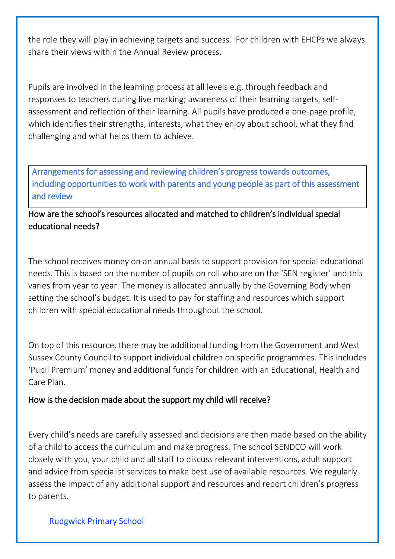the role they will play in achieving targets and success. For children with EHCPs we always share their views within the Annual Review process.

Pupils are involved in the learning process at all levels e.g. through feedback and responses to teachers during live marking; awareness of their learning targets, selfassessment and reflection of their learning. All pupils have produced a one-page profile, which identifies their strengths, interests, what they enjoy about school, what they find challenging and what helps them to achieve.

Arrangements for assessing and reviewing children's progress towards outcomes, including opportunities to work with parents and young people as part of this assessment and review

How are the school's resources allocated and matched to children's individual special educational needs?

The school receives money on an annual basis to support provision for special educational needs. This is based on the number of pupils on roll who are on the 'SEN register' and this varies from year to year. The money is allocated annually by the Governing Body when setting the school's budget. It is used to pay for staffing and resources which support children with special educational needs throughout the school.

On top of this resource, there may be additional funding from the Government and West Sussex County Council to support individual children on specific programmes. This includes 'Pupil Premium' money and additional funds for children with an Educational, Health and Care Plan.

#### How is the decision made about the support my child will receive?

Every child's needs are carefully assessed and decisions are then made based on the ability of a child to access the curriculum and make progress. The school SENDCO will work closely with you, your child and all staff to discuss relevant interventions, adult support and advice from specialist services to make best use of available resources. We regularly assess the impact of any additional support and resources and report children's progress to parents.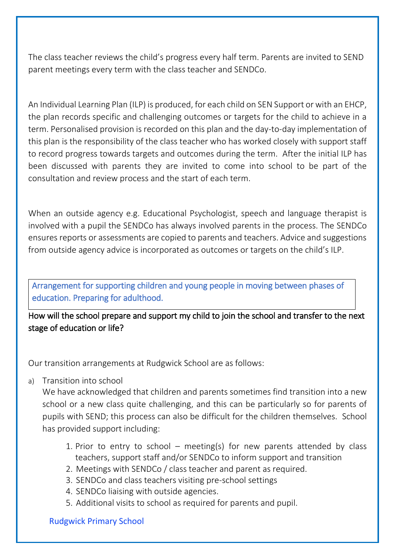The class teacher reviews the child's progress every half term. Parents are invited to SEND parent meetings every term with the class teacher and SENDCo.

An Individual Learning Plan (ILP) is produced, for each child on SEN Support or with an EHCP, the plan records specific and challenging outcomes or targets for the child to achieve in a term. Personalised provision is recorded on this plan and the day-to-day implementation of this plan is the responsibility of the class teacher who has worked closely with support staff to record progress towards targets and outcomes during the term. After the initial ILP has been discussed with parents they are invited to come into school to be part of the consultation and review process and the start of each term.

When an outside agency e.g. Educational Psychologist, speech and language therapist is involved with a pupil the SENDCo has always involved parents in the process. The SENDCo ensures reports or assessments are copied to parents and teachers. Advice and suggestions from outside agency advice is incorporated as outcomes or targets on the child's ILP.

Arrangement for supporting children and young people in moving between phases of education. Preparing for adulthood.

How will the school prepare and support my child to join the school and transfer to the next stage of education or life?

Our transition arrangements at Rudgwick School are as follows:

a) Transition into school

We have acknowledged that children and parents sometimes find transition into a new school or a new class quite challenging, and this can be particularly so for parents of pupils with SEND; this process can also be difficult for the children themselves. School has provided support including:

- 1. Prior to entry to school meeting(s) for new parents attended by class teachers, support staff and/or SENDCo to inform support and transition
- 2. Meetings with SENDCo / class teacher and parent as required.
- 3. SENDCo and class teachers visiting pre-school settings
- 4. SENDCo liaising with outside agencies.
- 5. Additional visits to school as required for parents and pupil.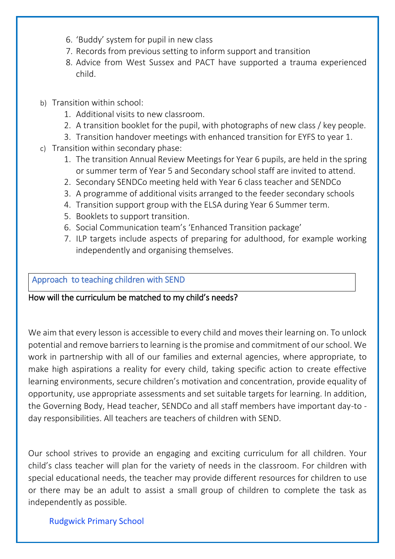- 6. 'Buddy' system for pupil in new class
- 7. Records from previous setting to inform support and transition
- 8. Advice from West Sussex and PACT have supported a trauma experienced child.
- b) Transition within school:
	- 1. Additional visits to new classroom.
	- 2. A transition booklet for the pupil, with photographs of new class / key people.
	- 3. Transition handover meetings with enhanced transition for EYFS to year 1.
- c) Transition within secondary phase:
	- 1. The transition Annual Review Meetings for Year 6 pupils, are held in the spring or summer term of Year 5 and Secondary school staff are invited to attend.
	- 2. Secondary SENDCo meeting held with Year 6 class teacher and SENDCo
	- 3. A programme of additional visits arranged to the feeder secondary schools
	- 4. Transition support group with the ELSA during Year 6 Summer term.
	- 5. Booklets to support transition.
	- 6. Social Communication team's 'Enhanced Transition package'
	- 7. ILP targets include aspects of preparing for adulthood, for example working independently and organising themselves.

### Approach to teaching children with SEND

#### How will the curriculum be matched to my child's needs?

We aim that every lesson is accessible to every child and moves their learning on. To unlock potential and remove barriers to learning is the promise and commitment of our school. We work in partnership with all of our families and external agencies, where appropriate, to make high aspirations a reality for every child, taking specific action to create effective learning environments, secure children's motivation and concentration, provide equality of opportunity, use appropriate assessments and set suitable targets for learning. In addition, the Governing Body, Head teacher, SENDCo and all staff members have important day-to day responsibilities. All teachers are teachers of children with SEND.

Our school strives to provide an engaging and exciting curriculum for all children. Your child's class teacher will plan for the variety of needs in the classroom. For children with special educational needs, the teacher may provide different resources for children to use or there may be an adult to assist a small group of children to complete the task as independently as possible.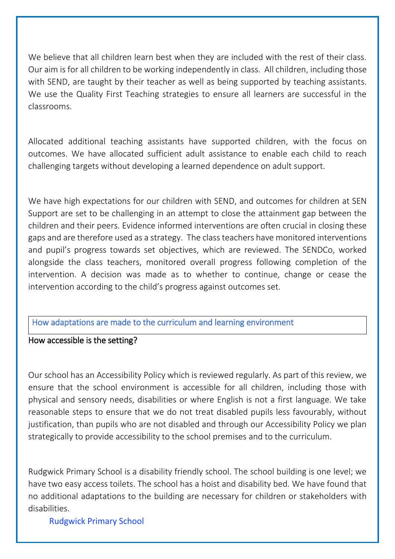We believe that all children learn best when they are included with the rest of their class. Our aim is for all children to be working independently in class. All children, including those with SEND, are taught by their teacher as well as being supported by teaching assistants. We use the Quality First Teaching strategies to ensure all learners are successful in the classrooms.

Allocated additional teaching assistants have supported children, with the focus on outcomes. We have allocated sufficient adult assistance to enable each child to reach challenging targets without developing a learned dependence on adult support.

We have high expectations for our children with SEND, and outcomes for children at SEN Support are set to be challenging in an attempt to close the attainment gap between the children and their peers. Evidence informed interventions are often crucial in closing these gaps and are therefore used as a strategy. The class teachers have monitored interventions and pupil's progress towards set objectives, which are reviewed. The SENDCo, worked alongside the class teachers, monitored overall progress following completion of the intervention. A decision was made as to whether to continue, change or cease the intervention according to the child's progress against outcomes set.

#### How adaptations are made to the curriculum and learning environment

#### How accessible is the setting?

Our school has an Accessibility Policy which is reviewed regularly. As part of this review, we ensure that the school environment is accessible for all children, including those with physical and sensory needs, disabilities or where English is not a first language. We take reasonable steps to ensure that we do not treat disabled pupils less favourably, without justification, than pupils who are not disabled and through our Accessibility Policy we plan strategically to provide accessibility to the school premises and to the curriculum.

Rudgwick Primary School is a disability friendly school. The school building is one level; we have two easy access toilets. The school has a hoist and disability bed. We have found that no additional adaptations to the building are necessary for children or stakeholders with disabilities.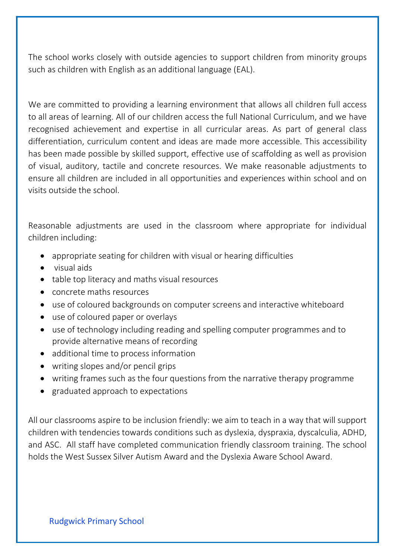The school works closely with outside agencies to support children from minority groups such as children with English as an additional language (EAL).

We are committed to providing a learning environment that allows all children full access to all areas of learning. All of our children access the full National Curriculum, and we have recognised achievement and expertise in all curricular areas. As part of general class differentiation, curriculum content and ideas are made more accessible. This accessibility has been made possible by skilled support, effective use of scaffolding as well as provision of visual, auditory, tactile and concrete resources. We make reasonable adjustments to ensure all children are included in all opportunities and experiences within school and on visits outside the school.

Reasonable adjustments are used in the classroom where appropriate for individual children including:

- appropriate seating for children with visual or hearing difficulties
- visual aids
- table top literacy and maths visual resources
- concrete maths resources
- use of coloured backgrounds on computer screens and interactive whiteboard
- use of coloured paper or overlays
- use of technology including reading and spelling computer programmes and to provide alternative means of recording
- additional time to process information
- writing slopes and/or pencil grips
- writing frames such as the four questions from the narrative therapy programme
- graduated approach to expectations

All our classrooms aspire to be inclusion friendly: we aim to teach in a way that will support children with tendencies towards conditions such as dyslexia, dyspraxia, dyscalculia, ADHD, and ASC. All staff have completed communication friendly classroom training. The school holds the West Sussex Silver Autism Award and the Dyslexia Aware School Award.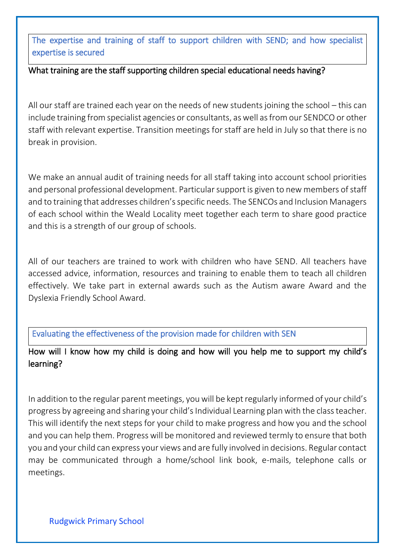The expertise and training of staff to support children with SEND; and how specialist expertise is secured

# What training are the staff supporting children special educational needs having?

All our staff are trained each year on the needs of new students joining the school – this can include training from specialist agencies or consultants, as well as from our SENDCO or other staff with relevant expertise. Transition meetings for staff are held in July so that there is no break in provision.

We make an annual audit of training needs for all staff taking into account school priorities and personal professional development. Particular support is given to new members of staff and to training that addresses children's specific needs. The SENCOs and Inclusion Managers of each school within the Weald Locality meet together each term to share good practice and this is a strength of our group of schools.

All of our teachers are trained to work with children who have SEND. All teachers have accessed advice, information, resources and training to enable them to teach all children effectively. We take part in external awards such as the Autism aware Award and the Dyslexia Friendly School Award.

Evaluating the effectiveness of the provision made for children with SEN

How will I know how my child is doing and how will you help me to support my child's learning?

In addition to the regular parent meetings, you will be kept regularly informed of your child's progress by agreeing and sharing your child'sIndividual Learning plan with the class teacher. This will identify the next steps for your child to make progress and how you and the school and you can help them. Progress will be monitored and reviewed termly to ensure that both you and your child can express your views and are fully involved in decisions. Regular contact may be communicated through a home/school link book, e-mails, telephone calls or meetings.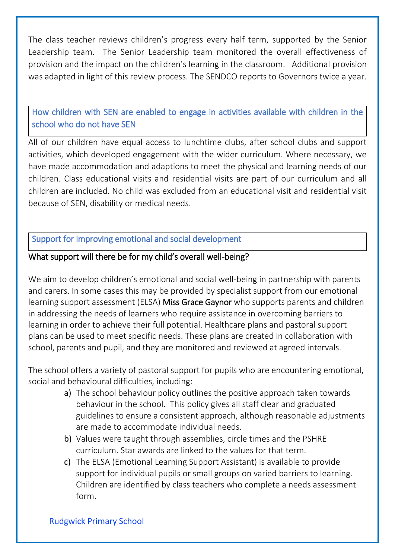The class teacher reviews children's progress every half term, supported by the Senior Leadership team. The Senior Leadership team monitored the overall effectiveness of provision and the impact on the children's learning in the classroom. Additional provision was adapted in light of this review process. The SENDCO reports to Governors twice a year.

How children with SEN are enabled to engage in activities available with children in the school who do not have SEN

All of our children have equal access to lunchtime clubs, after school clubs and support activities, which developed engagement with the wider curriculum. Where necessary, we have made accommodation and adaptions to meet the physical and learning needs of our children. Class educational visits and residential visits are part of our curriculum and all children are included. No child was excluded from an educational visit and residential visit because of SEN, disability or medical needs.

# Support for improving emotional and social development

### What support will there be for my child's overall well-being?

We aim to develop children's emotional and social well-being in partnership with parents and carers. In some cases this may be provided by specialist support from our emotional learning support assessment (ELSA) Miss Grace Gaynor who supports parents and children in addressing the needs of learners who require assistance in overcoming barriers to learning in order to achieve their full potential. Healthcare plans and pastoral support plans can be used to meet specific needs. These plans are created in collaboration with school, parents and pupil, and they are monitored and reviewed at agreed intervals.

The school offers a variety of pastoral support for pupils who are encountering emotional, social and behavioural difficulties, including:

- a) The school behaviour policy outlines the positive approach taken towards behaviour in the school. This policy gives all staff clear and graduated guidelines to ensure a consistent approach, although reasonable adjustments are made to accommodate individual needs.
- b) Values were taught through assemblies, circle times and the PSHRE curriculum. Star awards are linked to the values for that term.
- c) The ELSA (Emotional Learning Support Assistant) is available to provide support for individual pupils or small groups on varied barriers to learning. Children are identified by class teachers who complete a needs assessment form.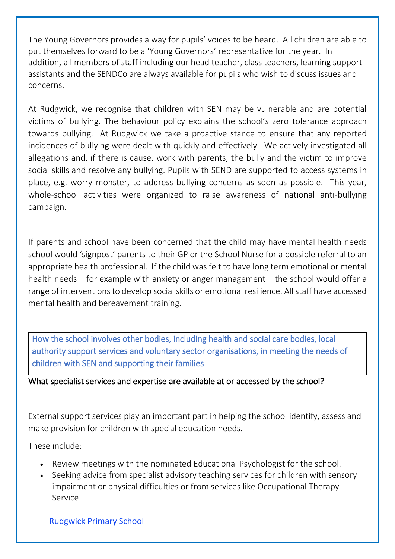The Young Governors provides a way for pupils' voices to be heard. All children are able to put themselves forward to be a 'Young Governors' representative for the year. In addition, all members of staff including our head teacher, class teachers, learning support assistants and the SENDCo are always available for pupils who wish to discuss issues and concerns.

At Rudgwick, we recognise that children with SEN may be vulnerable and are potential victims of bullying. The behaviour policy explains the school's zero tolerance approach towards bullying. At Rudgwick we take a proactive stance to ensure that any reported incidences of bullying were dealt with quickly and effectively. We actively investigated all allegations and, if there is cause, work with parents, the bully and the victim to improve social skills and resolve any bullying. Pupils with SEND are supported to access systems in place, e.g. worry monster, to address bullying concerns as soon as possible. This year, whole-school activities were organized to raise awareness of national anti-bullying campaign.

If parents and school have been concerned that the child may have mental health needs school would 'signpost' parents to their GP or the School Nurse for a possible referral to an appropriate health professional. If the child was felt to have long term emotional or mental health needs – for example with anxiety or anger management – the school would offer a range of interventionsto develop social skills or emotional resilience. All staff have accessed mental health and bereavement training.

How the school involves other bodies, including health and social care bodies, local authority support services and voluntary sector organisations, in meeting the needs of children with SEN and supporting their families

#### What specialist services and expertise are available at or accessed by the school?

External support services play an important part in helping the school identify, assess and make provision for children with special education needs.

These include:

- Review meetings with the nominated Educational Psychologist for the school.
- Seeking advice from specialist advisory teaching services for children with sensory impairment or physical difficulties or from services like Occupational Therapy Service.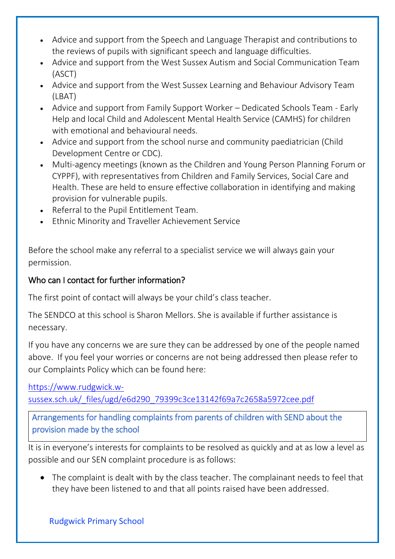- Advice and support from the Speech and Language Therapist and contributions to the reviews of pupils with significant speech and language difficulties.
- Advice and support from the West Sussex Autism and Social Communication Team (ASCT)
- Advice and support from the West Sussex Learning and Behaviour Advisory Team (LBAT)
- Advice and support from Family Support Worker Dedicated Schools Team Early Help and local Child and Adolescent Mental Health Service (CAMHS) for children with emotional and behavioural needs.
- Advice and support from the school nurse and community paediatrician (Child Development Centre or CDC).
- Multi-agency meetings (known as the Children and Young Person Planning Forum or CYPPF), with representatives from Children and Family Services, Social Care and Health. These are held to ensure effective collaboration in identifying and making provision for vulnerable pupils.
- Referral to the Pupil Entitlement Team.
- Ethnic Minority and Traveller Achievement Service

Before the school make any referral to a specialist service we will always gain your permission.

# Who can I contact for further information?

The first point of contact will always be your child's class teacher.

The SENDCO at this school is Sharon Mellors. She is available if further assistance is necessary.

If you have any concerns we are sure they can be addressed by one of the people named above. If you feel your worries or concerns are not being addressed then please refer to our Complaints Policy which can be found here:

[https://www.rudgwick.w](https://www.rudgwick.w-sussex.sch.uk/_files/ugd/e6d290_79399c3ce13142f69a7c2658a5972cee.pdf)[sussex.sch.uk/\\_files/ugd/e6d290\\_79399c3ce13142f69a7c2658a5972cee.pdf](https://www.rudgwick.w-sussex.sch.uk/_files/ugd/e6d290_79399c3ce13142f69a7c2658a5972cee.pdf)

Arrangements for handling complaints from parents of children with SEND about the provision made by the school

It is in everyone's interests for complaints to be resolved as quickly and at as low a level as possible and our SEN complaint procedure is as follows:

 The complaint is dealt with by the class teacher. The complainant needs to feel that they have been listened to and that all points raised have been addressed.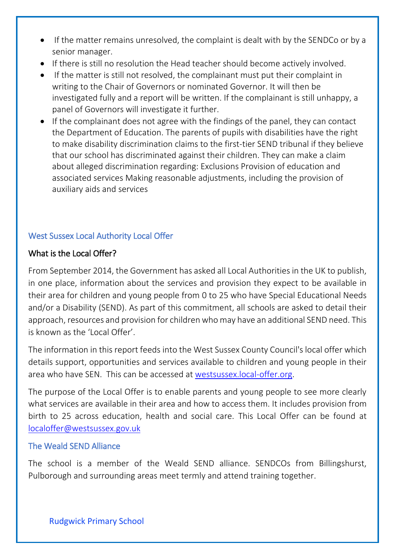- If the matter remains unresolved, the complaint is dealt with by the SENDCo or by a senior manager.
- If there is still no resolution the Head teacher should become actively involved.
- If the matter is still not resolved, the complainant must put their complaint in writing to the Chair of Governors or nominated Governor. It will then be investigated fully and a report will be written. If the complainant is still unhappy, a panel of Governors will investigate it further.
- If the complainant does not agree with the findings of the panel, they can contact the Department of Education. The parents of pupils with disabilities have the right to make disability discrimination claims to the first-tier SEND tribunal if they believe that our school has discriminated against their children. They can make a claim about alleged discrimination regarding: Exclusions Provision of education and associated services Making reasonable adjustments, including the provision of auxiliary aids and services

# West Sussex Local Authority Local Offer

### What is the Local Offer?

From September 2014, the Government has asked all Local Authorities in the UK to publish, in one place, information about the services and provision they expect to be available in their area for children and young people from 0 to 25 who have Special Educational Needs and/or a Disability (SEND). As part of this commitment, all schools are asked to detail their approach, resources and provision for children who may have an additional SEND need. This is known as the 'Local Offer'.

The information in this report feeds into the West Sussex County Council's local offer which details support, opportunities and services available to children and young people in their area who have SEN. This can be accessed at [westsussex.local-offer.org.](https://westsussex.local-offer.org/)

The purpose of the Local Offer is to enable parents and young people to see more clearly what services are available in their area and how to access them. It includes provision from birth to 25 across education, health and social care. This Local Offer can be found at [localoffer@westsussex.gov.uk](mailto:localoffer@westsussex.gov.uk)

#### The Weald SEND Alliance

The school is a member of the Weald SEND alliance. SENDCOs from Billingshurst, Pulborough and surrounding areas meet termly and attend training together.